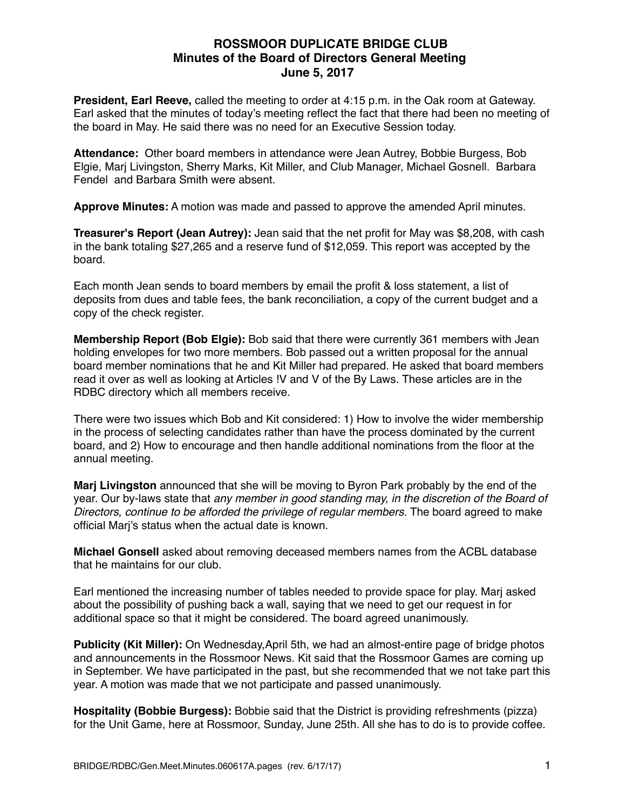## **ROSSMOOR DUPLICATE BRIDGE CLUB Minutes of the Board of Directors General Meeting June 5, 2017**

**President, Earl Reeve,** called the meeting to order at 4:15 p.m. in the Oak room at Gateway. Earl asked that the minutes of today's meeting reflect the fact that there had been no meeting of the board in May. He said there was no need for an Executive Session today.

**Attendance:** Other board members in attendance were Jean Autrey, Bobbie Burgess, Bob Elgie, Marj Livingston, Sherry Marks, Kit Miller, and Club Manager, Michael Gosnell. Barbara Fendel and Barbara Smith were absent.

**Approve Minutes:** A motion was made and passed to approve the amended April minutes.

**Treasurer's Report (Jean Autrey):** Jean said that the net profit for May was \$8,208, with cash in the bank totaling \$27,265 and a reserve fund of \$12,059. This report was accepted by the board.

Each month Jean sends to board members by email the profit & loss statement, a list of deposits from dues and table fees, the bank reconciliation, a copy of the current budget and a copy of the check register.

**Membership Report (Bob Elgie):** Bob said that there were currently 361 members with Jean holding envelopes for two more members. Bob passed out a written proposal for the annual board member nominations that he and Kit Miller had prepared. He asked that board members read it over as well as looking at Articles !V and V of the By Laws. These articles are in the RDBC directory which all members receive.

There were two issues which Bob and Kit considered: 1) How to involve the wider membership in the process of selecting candidates rather than have the process dominated by the current board, and 2) How to encourage and then handle additional nominations from the floor at the annual meeting.

**Marj Livingston** announced that she will be moving to Byron Park probably by the end of the year. Our by-laws state that *any member in good standing may, in the discretion of the Board of Directors, continue to be afforded the privilege of regular members.* The board agreed to make official Marj's status when the actual date is known.

**Michael Gonsell** asked about removing deceased members names from the ACBL database that he maintains for our club.

Earl mentioned the increasing number of tables needed to provide space for play. Marj asked about the possibility of pushing back a wall, saying that we need to get our request in for additional space so that it might be considered. The board agreed unanimously.

**Publicity (Kit Miller):** On Wednesday,April 5th, we had an almost-entire page of bridge photos and announcements in the Rossmoor News. Kit said that the Rossmoor Games are coming up in September. We have participated in the past, but she recommended that we not take part this year. A motion was made that we not participate and passed unanimously.

**Hospitality (Bobbie Burgess):** Bobbie said that the District is providing refreshments (pizza) for the Unit Game, here at Rossmoor, Sunday, June 25th. All she has to do is to provide coffee.